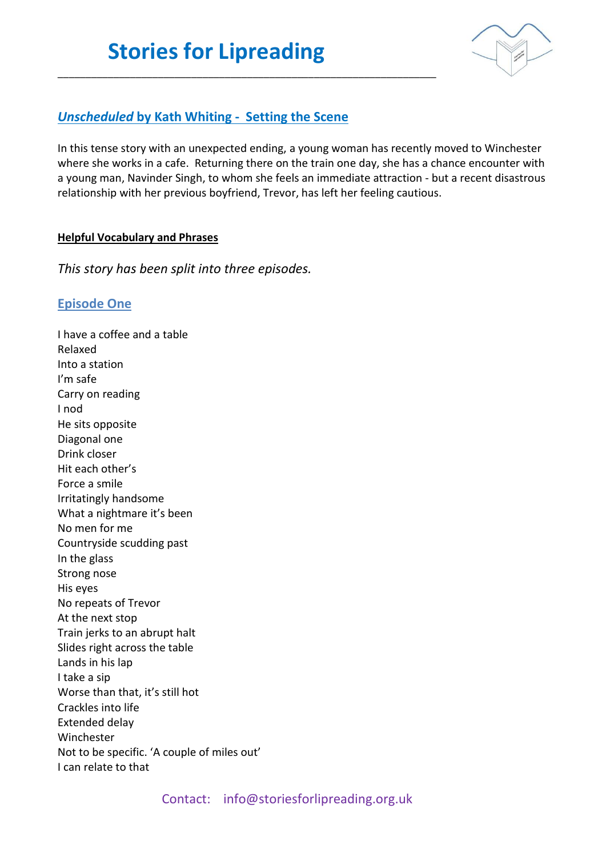\_\_\_\_\_\_\_\_\_\_\_\_\_\_\_\_\_\_\_\_\_\_\_\_\_\_\_\_\_\_\_\_\_\_\_\_\_\_\_\_\_\_\_\_\_\_\_\_\_\_\_\_\_\_\_\_\_\_\_\_\_\_\_\_\_\_\_\_



### *Unscheduled* **by Kath Whiting - Setting the Scene**

In this tense story with an unexpected ending, a young woman has recently moved to Winchester where she works in a cafe. Returning there on the train one day, she has a chance encounter with a young man, Navinder Singh, to whom she feels an immediate attraction - but a recent disastrous relationship with her previous boyfriend, Trevor, has left her feeling cautious.

#### **Helpful Vocabulary and Phrases**

*This story has been split into three episodes.* 

### **Episode One**

I have a coffee and a table Relaxed Into a station I'm safe Carry on reading I nod He sits opposite Diagonal one Drink closer Hit each other's Force a smile Irritatingly handsome What a nightmare it's been No men for me Countryside scudding past In the glass Strong nose His eyes No repeats of Trevor At the next stop Train jerks to an abrupt halt Slides right across the table Lands in his lap I take a sip Worse than that, it's still hot Crackles into life Extended delay Winchester Not to be specific. 'A couple of miles out' I can relate to that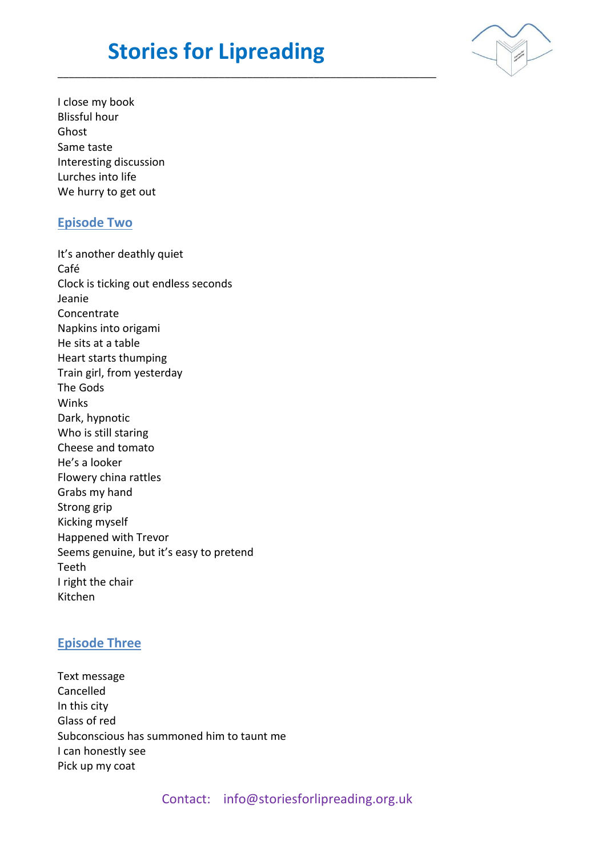## **Stories for Lipreading**

\_\_\_\_\_\_\_\_\_\_\_\_\_\_\_\_\_\_\_\_\_\_\_\_\_\_\_\_\_\_\_\_\_\_\_\_\_\_\_\_\_\_\_\_\_\_\_\_\_\_\_\_\_\_\_\_\_\_\_\_\_\_\_\_\_\_\_\_



I close my book Blissful hour Ghost Same taste Interesting discussion Lurches into life We hurry to get out

### **Episode Two**

It's another deathly quiet Café Clock is ticking out endless seconds Jeanie Concentrate Napkins into origami He sits at a table Heart starts thumping Train girl, from yesterday The Gods Winks Dark, hypnotic Who is still staring Cheese and tomato He's a looker Flowery china rattles Grabs my hand Strong grip Kicking myself Happened with Trevor Seems genuine, but it's easy to pretend Teeth I right the chair Kitchen

### **Episode Three**

Text message Cancelled In this city Glass of red Subconscious has summoned him to taunt me I can honestly see Pick up my coat